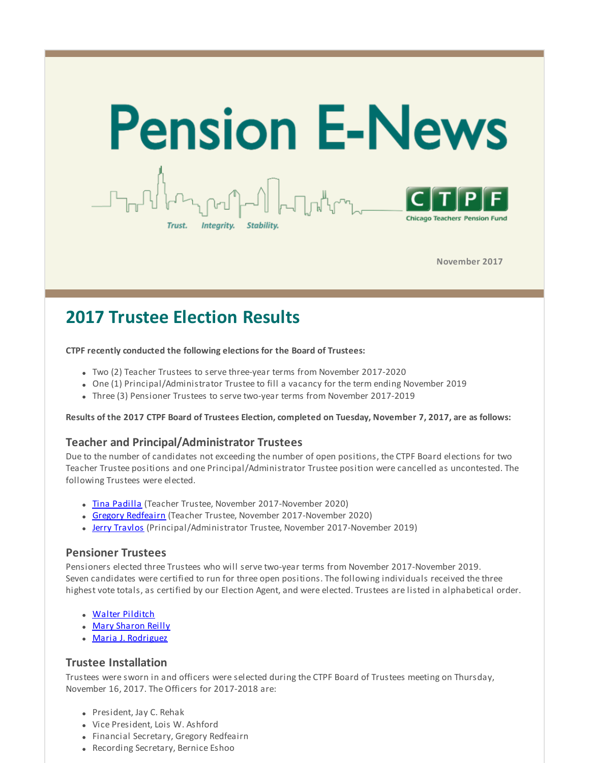

**November 2017**

# **2017 Trustee Election Results**

### **CTPF recently conducted the following elections for the Board of Trustees:**

- Two (2) Teacher Trustees to serve three-year terms from November 2017-2020
- One (1) Principal/Administrator Trustee to fill a vacancy for the term ending November 2019
- Three (3) Pensioner Trustees to serve two-year terms from November 2017-2019

#### Results of the 2017 CTPF Board of Trustees Election, completed on Tuesday, November 7, 2017, are as follows:

### **Teacher and Principal/Administrator Trustees**

Due to the number of candidates not exceeding the number of open positions, the CTPF Board elections for two Teacher Trustee positions and one Principal/Administrator Trustee position were cancelled as uncontested. The following Trustees were elected.

- Tina [Padilla](http://r20.rs6.net/tn.jsp?f=001VCq5By-FdL2IQrxbGOb8uGvQiCm2uWFf_yR85IcFTwe0ks5X1lNDFme77bZAb71CGaOXEADKXBp5C4TzxDiOC8CYMKYbtLACN8TNllL__WP1Vty_4coWUAtGjfjxBMu2r8w2EdHd6qblp1F5j2Y6ytnaTmMulxB7Ojn3RPH02GCpDAtX1xoLHCC1gljQXrcooSpzRivXpwA=&c=&ch=) (Teacher Trustee, November 2017-November 2020)
- Gregory [Redfeairn](http://r20.rs6.net/tn.jsp?f=001VCq5By-FdL2IQrxbGOb8uGvQiCm2uWFf_yR85IcFTwe0ks5X1lNDFme77bZAb71C-yMysCLbsUEuNnqWaK1YpIPDui9HhT4hiUzUadDt5OsGP2VazYu5WE4K7WhpcXGk2_NGzxw-RmwLob4aE8Mn2jgT1Zkb3VfTqYRb36_R4Ng6Q1AcxWt4vlej8x_86aXTzE7EbbTeLPw=&c=&ch=) (Teacher Trustee, November 2017-November 2020)
- Jerry [Travlos](http://r20.rs6.net/tn.jsp?f=001VCq5By-FdL2IQrxbGOb8uGvQiCm2uWFf_yR85IcFTwe0ks5X1lNDFme77bZAb71CHxI6tnWZTUyYIWKTZB_kh3w5V7J-9VCIPsvXjdK3x-Jc0rBlOWpEuWGemWOVzkVpOPjlMbRPt9iIWoOzb8k9UyP7n3LXlt1VkArK1loIPPkNipDSwiI5YOba4mnD4fDQvVhNGagVwOI=&c=&ch=) (Principal/Administrator Trustee, November 2017-November 2019)

### **Pensioner Trustees**

Pensioners elected three Trustees who will serve two-year terms from November 2017-November 2019. Seven candidates were certified to run for three open positions. The following individuals received the three highest vote totals, as certified by our Election Agent, and were elected. Trustees are listed in alphabetical order.

- Walter [Pilditch](http://r20.rs6.net/tn.jsp?f=001VCq5By-FdL2IQrxbGOb8uGvQiCm2uWFf_yR85IcFTwe0ks5X1lNDFme77bZAb71CaQmCi7So-EA5WI-NQsYu4RQFDvYRrUG2rb2liaUmuUVW031NiOO9NRg_RFW7lUEGfUAXpjPzlOoDVxaFKX2_GmF4ZQdIQd2sAcW-b_C8OiKjdJ-8L8ZADrwxdHcbs3eQCojMCwa3QeI=&c=&ch=)
- Mary [Sharon](http://r20.rs6.net/tn.jsp?f=001VCq5By-FdL2IQrxbGOb8uGvQiCm2uWFf_yR85IcFTwe0ks5X1lNDFme77bZAb71Cp9UM8g29Dre2C6_KA4C4vBPfTywum8NnsqJMhtbC5Q8MOR2kMrBDDAnFol0dldqMD_OkBXXa85FeHVMkAT95gtEKKRigFopgRIdE5DR0v1hc0upi59wcGNTQPBrYSl7kuUem_kGWjjI=&c=&ch=) Reilly
- Maria J. [Rodriguez](http://r20.rs6.net/tn.jsp?f=001VCq5By-FdL2IQrxbGOb8uGvQiCm2uWFf_yR85IcFTwe0ks5X1lNDFme77bZAb71Cz2mdrNvPyrsl3i1Ln1SaaEe2kS0Krnr3eXd4vKvqo8-5ejjlK3COxgHLrQW2ydvPPhhcaHpk22ZyfK9ztv6juFXeVpSABiarYP1enp5HfzxyxvEwy5u6nokQygkzdodDRued5b4sGjo=&c=&ch=)

### **Trustee Installation**

Trustees were sworn in and officers were selected during the CTPF Board of Trustees meeting on Thursday, November 16, 2017. The Officers for 2017-2018 are:

- President, Jay C. Rehak
- Vice President, Lois W. Ashford
- Financial Secretary, Gregory Redfeairn
- Recording Secretary, Bernice Eshoo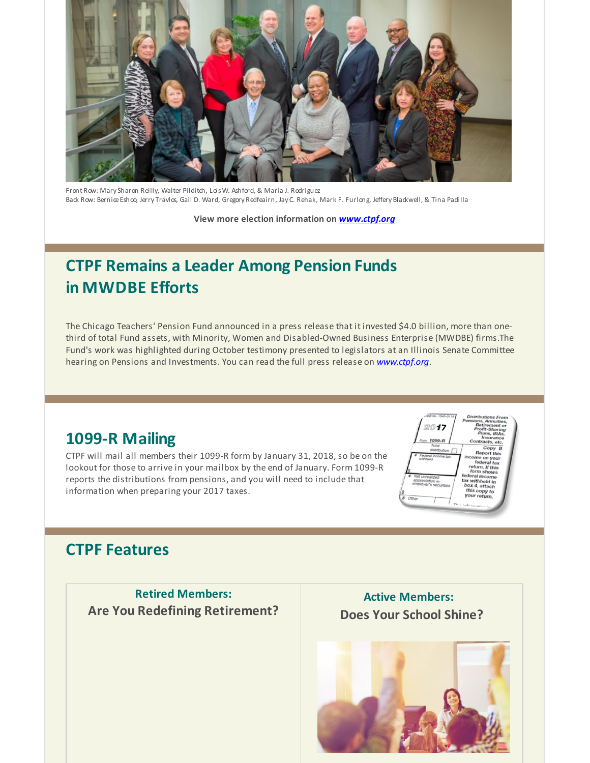

Front Row: Mary Sharon Reilly, Walter Pilditch, Lois W. Ashford, & Maria J. Rodriguez Back Row: BerniceEshoo, Jerry Travlos, Gail D. Ward, Gregory Redfeairn, Jay C. Rehak, Mark F. Furlong, Jeffery Blackwell, & Tina Padilla

**View more election information on** *[www.ctpf.org](http://r20.rs6.net/tn.jsp?f=001VCq5By-FdL2IQrxbGOb8uGvQiCm2uWFf_yR85IcFTwe0ks5X1lNDFtW8qsMIYLk7ZFn7HF1_qSFuLkoC5PudX-bn7ya04zATn_v5YnPw_FXEYSDERsW3jagADJcYHXLm8OrFHgoejdk0RRmLebCkgaGRCwwXATp11bC8HkpmpZ3WnuWa0EVGEejMRNOtwvq33rMtzB9ADlI4W-HQ84uNKA==&c=&ch=)*

# **CTPF Remains a Leader Among Pension Funds in MWDBE Efforts**

The Chicago Teachers' Pension Fund announced in a press release that it invested \$4.0 billion, more than onethird of total Fund assets, with Minority, Women and Disabled-Owned Business Enterprise (MWDBE) firms.The Fund's work was highlighted during October testimony presented to legislators at an Illinois Senate Committee hearing on Pensions and Investments. You can read the full press release on *[www.ctpf.org](http://r20.rs6.net/tn.jsp?f=001VCq5By-FdL2IQrxbGOb8uGvQiCm2uWFf_yR85IcFTwe0ks5X1lNDFjjPpwI1oDUUVNBDmTpPFnQmHa6p2QRYIFO0vdryYnU2SyXKupLIZvezTu4onheIWKCPs2lvfzVhoPVFBvzDrCwcOVICIV7IBobHWKGtNIIsAw_jD5gx2nhqypSz7ANWLjV7LEV3kx6pH_-wl4Aq6pzESq6XJxRVUQ==&c=&ch=)*.

### **1099-R Mailing**

CTPF will mail all members their 1099-R form by January 31, 2018, so be on the lookout for those to arrive in your mailbox by the end of January. Form 1099-R reports the distributions from pensions, and you will need to include that information when preparing your 2017 taxes.



## **CTPF Features**

**Retired Members: Are You Redefining Retirement?**

**Active Members: Does Your School Shine?**

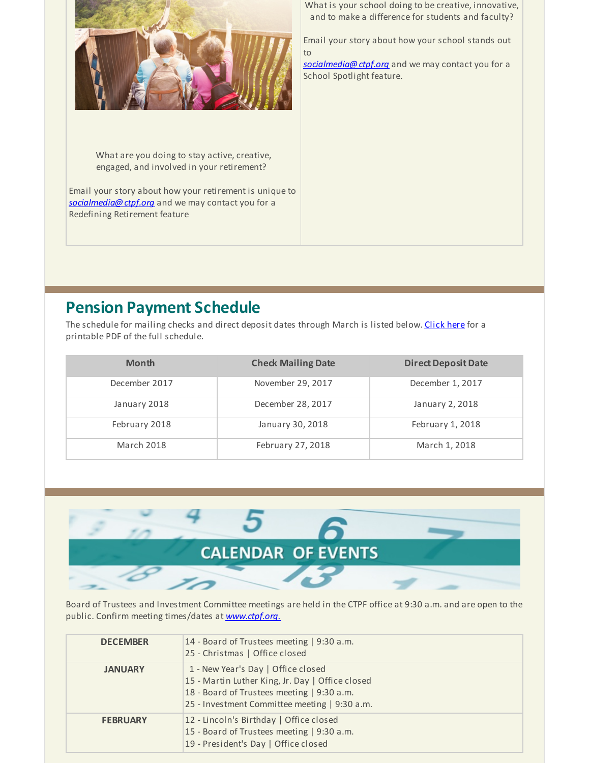

What are you doing to stay active, creative, engaged, and involved in your retirement?

Email your story about how your retirement is unique to *[socialmedia@ctpf.org](mailto:socialmedia@ctpf.org)* and we may contact you for a Redefining Retirement feature

What is your school doing to be creative, innovative, and to make a difference for students and faculty?

Email your story about how your school stands out to

*[socialmedia@ctpf.org](mailto:socialmedia@ctpf.org)* and we may contact you for a School Spotlight feature.

### **Pension Payment Schedule**

The schedule for mailing checks and direct deposit dates through March is listed below. [Click](http://r20.rs6.net/tn.jsp?f=001VCq5By-FdL2IQrxbGOb8uGvQiCm2uWFf_yR85IcFTwe0ks5X1lNDFjXFSse-V0FrrhlX5EDr5EgIJNiWfJ31_S2XIKFFvDiT_b2ckOHsOT485k3hJfkPEWgzxvzDfKxr0lKXsDOORVXqX3VhbIN4YMSfR8wm4yAtOVQJ6s6EVa7IHPsxVlty-ZvfV8vPWSO0NJIWRl0fZsRUSEprfFgmBA==&c=&ch=) here for a printable PDF of the full schedule.

| <b>Month</b>      | <b>Check Mailing Date</b> | <b>Direct Deposit Date</b> |
|-------------------|---------------------------|----------------------------|
| December 2017     | November 29, 2017         | December 1, 2017           |
| January 2018      | December 28, 2017         | January 2, 2018            |
| February 2018     | January 30, 2018          | February 1, 2018           |
| <b>March 2018</b> | February 27, 2018         | March 1, 2018              |



Board of Trustees and Investment Committee meetings are held in the CTPF office at 9:30 a.m. and are open to the public. Confirm meeting times/dates at *[www.ctpf.org.](http://r20.rs6.net/tn.jsp?f=001VCq5By-FdL2IQrxbGOb8uGvQiCm2uWFf_yR85IcFTwe0ks5X1lNDFtmFonBrWVhyxGK86NoUznSwFtXc4Jtu9s3NOGLcsdldwvagQuYpGeoLuNvF-S0jclCp_hPS8MtA1cghD6DNM9Mvxosf189OFQjxyfL1OlUQ9AjzlDRAlEV-cngC_eFkCwRpHQIXBKdFSJ1_OIKi9d4=&c=&ch=)*

| <b>DECEMBER</b> | 14 - Board of Trustees meeting   9:30 a.m.<br>25 - Christmas   Office closed                                                                                                          |
|-----------------|---------------------------------------------------------------------------------------------------------------------------------------------------------------------------------------|
| <b>JANUARY</b>  | 1 - New Year's Day   Office closed<br>15 - Martin Luther King, Jr. Day   Office closed<br>18 - Board of Trustees meeting   9:30 a.m.<br>25 - Investment Committee meeting   9:30 a.m. |
| <b>FEBRUARY</b> | 12 - Lincoln's Birthday   Office closed<br>15 - Board of Trustees meeting   9:30 a.m.<br>19 - President's Day   Office closed                                                         |